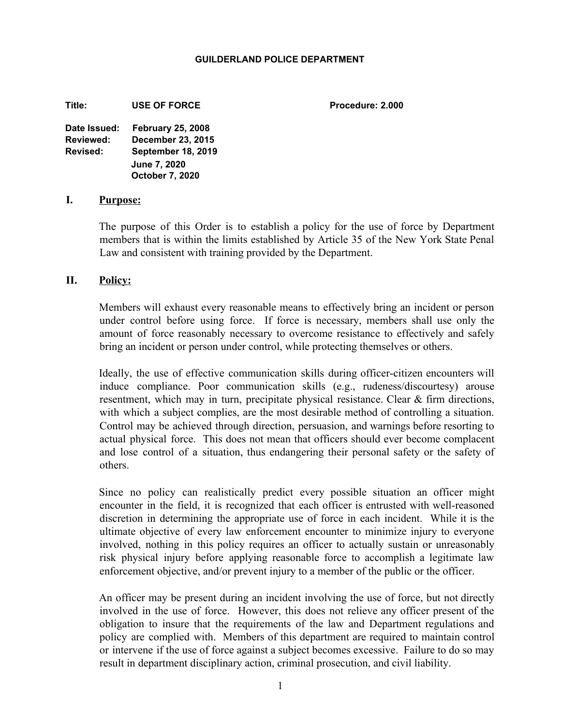### **GUILDERLAND POLICE DEPARTMENT**

**Title: USE OF FORCE Procedure: 2.000**

**Date Issued: February 25, 2008 Reviewed: December 23, 2015 Revised: September 18, 2019 June 7, 2020 October 7, 2020**

### **I. Purpose:**

The purpose of this Order is to establish a policy for the use of force by Department members that is within the limits established by Article 35 of the New York State Penal Law and consistent with training provided by the Department.

## **II. Policy:**

Members will exhaust every reasonable means to effectively bring an incident or person under control before using force. If force is necessary, members shall use only the amount of force reasonably necessary to overcome resistance to effectively and safely bring an incident or person under control, while protecting themselves or others.

Ideally, the use of effective communication skills during officer-citizen encounters will induce compliance. Poor communication skills (e.g., rudeness/discourtesy) arouse resentment, which may in turn, precipitate physical resistance. Clear & firm directions, with which a subject complies, are the most desirable method of controlling a situation. Control may be achieved through direction, persuasion, and warnings before resorting to actual physical force. This does not mean that officers should ever become complacent and lose control of a situation, thus endangering their personal safety or the safety of others.

Since no policy can realistically predict every possible situation an officer might encounter in the field, it is recognized that each officer is entrusted with well-reasoned discretion in determining the appropriate use of force in each incident. While it is the ultimate objective of every law enforcement encounter to minimize injury to everyone involved, nothing in this policy requires an officer to actually sustain or unreasonably risk physical injury before applying reasonable force to accomplish a legitimate law enforcement objective, and/or prevent injury to a member of the public or the officer.

An officer may be present during an incident involving the use of force, but not directly involved in the use of force. However, this does not relieve any officer present of the obligation to insure that the requirements of the law and Department regulations and policy are complied with. Members of this department are required to maintain control or intervene if the use of force against a subject becomes excessive. Failure to do so may result in department disciplinary action, criminal prosecution, and civil liability.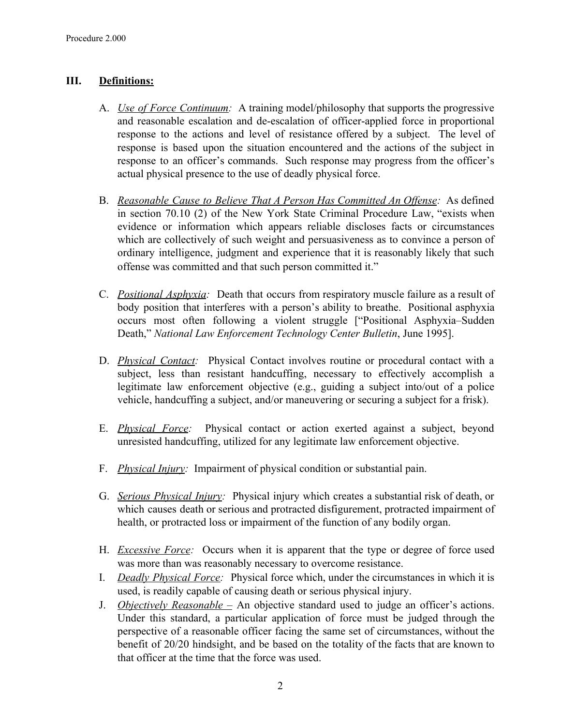# **III. Definitions:**

- A. *Use of Force Continuum:* A training model/philosophy that supports the progressive and reasonable escalation and de-escalation of officer-applied force in proportional response to the actions and level of resistance offered by a subject. The level of response is based upon the situation encountered and the actions of the subject in response to an officer's commands. Such response may progress from the officer's actual physical presence to the use of deadly physical force.
- B. *Reasonable Cause to Believe That A Person Has Committed An Offense:* As defined in section 70.10 (2) of the New York State Criminal Procedure Law, "exists when evidence or information which appears reliable discloses facts or circumstances which are collectively of such weight and persuasiveness as to convince a person of ordinary intelligence, judgment and experience that it is reasonably likely that such offense was committed and that such person committed it."
- C. *Positional Asphyxia:* Death that occurs from respiratory muscle failure as a result of body position that interferes with a person's ability to breathe. Positional asphyxia occurs most often following a violent struggle ["Positional Asphyxia–Sudden Death," *National Law Enforcement Technology Center Bulletin*, June 1995].
- D. *Physical Contact:* Physical Contact involves routine or procedural contact with a subject, less than resistant handcuffing, necessary to effectively accomplish a legitimate law enforcement objective (e.g., guiding a subject into/out of a police vehicle, handcuffing a subject, and/or maneuvering or securing a subject for a frisk).
- E. *Physical Force:* Physical contact or action exerted against a subject, beyond unresisted handcuffing, utilized for any legitimate law enforcement objective.
- F. *Physical Injury:* Impairment of physical condition or substantial pain.
- G. *Serious Physical Injury:* Physical injury which creates a substantial risk of death, or which causes death or serious and protracted disfigurement, protracted impairment of health, or protracted loss or impairment of the function of any bodily organ.
- H. *Excessive Force:* Occurs when it is apparent that the type or degree of force used was more than was reasonably necessary to overcome resistance.
- I. *Deadly Physical Force:* Physical force which, under the circumstances in which it is used, is readily capable of causing death or serious physical injury.
- J. *Objectively Reasonable –* An objective standard used to judge an officer's actions. Under this standard, a particular application of force must be judged through the perspective of a reasonable officer facing the same set of circumstances, without the benefit of 20/20 hindsight, and be based on the totality of the facts that are known to that officer at the time that the force was used.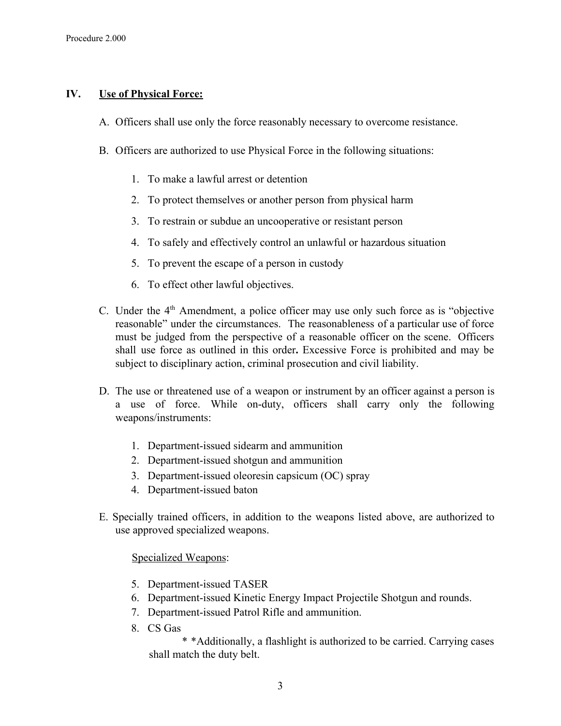# **IV. Use of Physical Force:**

- A. Officers shall use only the force reasonably necessary to overcome resistance.
- B. Officers are authorized to use Physical Force in the following situations:
	- 1. To make a lawful arrest or detention
	- 2. To protect themselves or another person from physical harm
	- 3. To restrain or subdue an uncooperative or resistant person
	- 4. To safely and effectively control an unlawful or hazardous situation
	- 5. To prevent the escape of a person in custody
	- 6. To effect other lawful objectives.
- C. Under the  $4<sup>th</sup>$  Amendment, a police officer may use only such force as is "objective reasonable" under the circumstances. The reasonableness of a particular use of force must be judged from the perspective of a reasonable officer on the scene. Officers shall use force as outlined in this order**.** Excessive Force is prohibited and may be subject to disciplinary action, criminal prosecution and civil liability.
- D. The use or threatened use of a weapon or instrument by an officer against a person is a use of force. While on-duty, officers shall carry only the following weapons/instruments:
	- 1. Department-issued sidearm and ammunition
	- 2. Department-issued shotgun and ammunition
	- 3. Department-issued oleoresin capsicum (OC) spray
	- 4. Department-issued baton
- E. Specially trained officers, in addition to the weapons listed above, are authorized to use approved specialized weapons.

## Specialized Weapons:

- 5. Department-issued TASER
- 6. Department-issued Kinetic Energy Impact Projectile Shotgun and rounds.
- 7. Department-issued Patrol Rifle and ammunition.
- 8. CS Gas

\* \*Additionally, a flashlight is authorized to be carried. Carrying cases shall match the duty belt.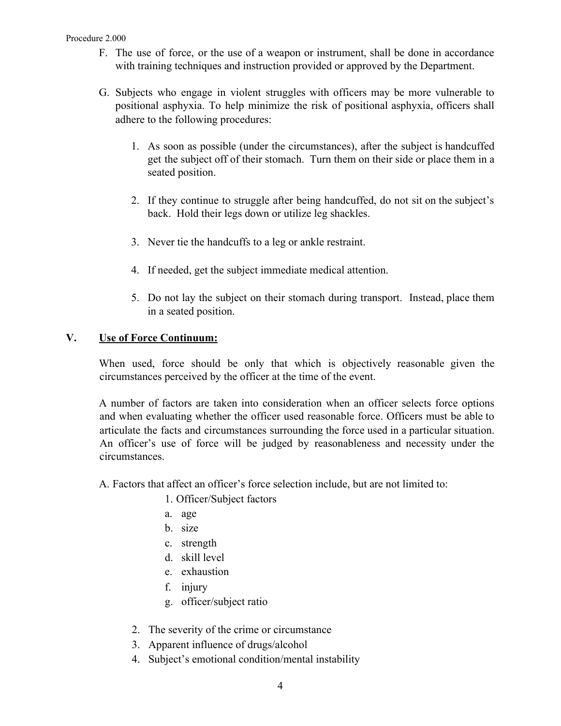### Procedure 2.000

- F. The use of force, or the use of a weapon or instrument, shall be done in accordance with training techniques and instruction provided or approved by the Department.
- G. Subjects who engage in violent struggles with officers may be more vulnerable to positional asphyxia. To help minimize the risk of positional asphyxia, officers shall adhere to the following procedures:
	- 1. As soon as possible (under the circumstances), after the subject is handcuffed get the subject off of their stomach. Turn them on their side or place them in a seated position.
	- 2. If they continue to struggle after being handcuffed, do not sit on the subject's back. Hold their legs down or utilize leg shackles.
	- 3. Never tie the handcuffs to a leg or ankle restraint.
	- 4. If needed, get the subject immediate medical attention.
	- 5. Do not lay the subject on their stomach during transport. Instead, place them in a seated position.

# **V. Use of Force Continuum:**

When used, force should be only that which is objectively reasonable given the circumstances perceived by the officer at the time of the event.

A number of factors are taken into consideration when an officer selects force options and when evaluating whether the officer used reasonable force. Officers must be able to articulate the facts and circumstances surrounding the force used in a particular situation. An officer's use of force will be judged by reasonableness and necessity under the circumstances.

- A. Factors that affect an officer's force selection include, but are not limited to:
	- 1. Officer/Subject factors
	- a. age
	- b. size
	- c. strength
	- d. skill level
	- e. exhaustion
	- f. injury
	- g. officer/subject ratio
	- 2. The severity of the crime or circumstance
	- 3. Apparent influence of drugs/alcohol
	- 4. Subject's emotional condition/mental instability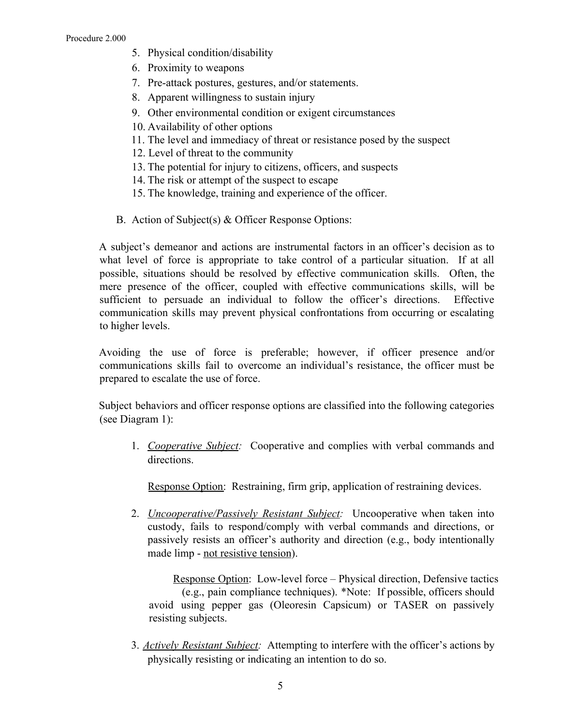- 5. Physical condition/disability
- 6. Proximity to weapons
- 7. Pre-attack postures, gestures, and/or statements.
- 8. Apparent willingness to sustain injury
- 9. Other environmental condition or exigent circumstances
- 10. Availability of other options
- 11. The level and immediacy of threat or resistance posed by the suspect
- 12. Level of threat to the community
- 13. The potential for injury to citizens, officers, and suspects
- 14. The risk or attempt of the suspect to escape
- 15. The knowledge, training and experience of the officer.
- B. Action of Subject(s) & Officer Response Options:

A subject's demeanor and actions are instrumental factors in an officer's decision as to what level of force is appropriate to take control of a particular situation. If at all possible, situations should be resolved by effective communication skills. Often, the mere presence of the officer, coupled with effective communications skills, will be sufficient to persuade an individual to follow the officer's directions. Effective communication skills may prevent physical confrontations from occurring or escalating to higher levels.

Avoiding the use of force is preferable; however, if officer presence and/or communications skills fail to overcome an individual's resistance, the officer must be prepared to escalate the use of force.

Subject behaviors and officer response options are classified into the following categories (see Diagram 1):

1. *Cooperative Subject:* Cooperative and complies with verbal commands and directions.

Response Option: Restraining, firm grip, application of restraining devices.

2. *Uncooperative/Passively Resistant Subject:* Uncooperative when taken into custody, fails to respond/comply with verbal commands and directions, or passively resists an officer's authority and direction (e.g., body intentionally made limp - not resistive tension).

Response Option: Low-level force – Physical direction, Defensive tactics (e.g., pain compliance techniques). \*Note: If possible, officers should avoid using pepper gas (Oleoresin Capsicum) or TASER on passively resisting subjects.

3. *Actively Resistant Subject:* Attempting to interfere with the officer's actions by physically resisting or indicating an intention to do so.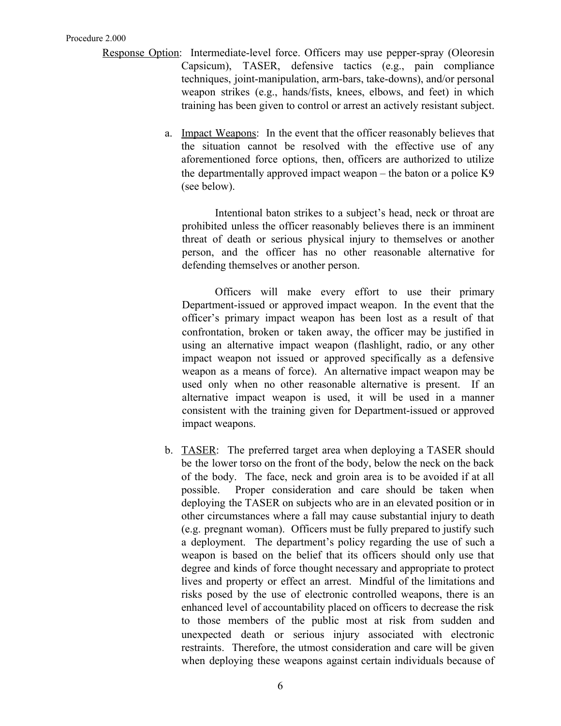- Response Option: Intermediate-level force. Officers may use pepper-spray (Oleoresin Capsicum), TASER, defensive tactics (e.g., pain compliance techniques, joint-manipulation, arm-bars, take-downs), and/or personal weapon strikes (e.g., hands/fists, knees, elbows, and feet) in which training has been given to control or arrest an actively resistant subject.
	- a. Impact Weapons: In the event that the officer reasonably believes that the situation cannot be resolved with the effective use of any aforementioned force options, then, officers are authorized to utilize the departmentally approved impact weapon – the baton or a police K9 (see below).

Intentional baton strikes to a subject's head, neck or throat are prohibited unless the officer reasonably believes there is an imminent threat of death or serious physical injury to themselves or another person, and the officer has no other reasonable alternative for defending themselves or another person.

Officers will make every effort to use their primary Department-issued or approved impact weapon. In the event that the officer's primary impact weapon has been lost as a result of that confrontation, broken or taken away, the officer may be justified in using an alternative impact weapon (flashlight, radio, or any other impact weapon not issued or approved specifically as a defensive weapon as a means of force). An alternative impact weapon may be used only when no other reasonable alternative is present. If an alternative impact weapon is used, it will be used in a manner consistent with the training given for Department-issued or approved impact weapons.

b. TASER: The preferred target area when deploying a TASER should be the lower torso on the front of the body, below the neck on the back of the body. The face, neck and groin area is to be avoided if at all possible. Proper consideration and care should be taken when deploying the TASER on subjects who are in an elevated position or in other circumstances where a fall may cause substantial injury to death (e.g. pregnant woman). Officers must be fully prepared to justify such a deployment. The department's policy regarding the use of such a weapon is based on the belief that its officers should only use that degree and kinds of force thought necessary and appropriate to protect lives and property or effect an arrest. Mindful of the limitations and risks posed by the use of electronic controlled weapons, there is an enhanced level of accountability placed on officers to decrease the risk to those members of the public most at risk from sudden and unexpected death or serious injury associated with electronic restraints. Therefore, the utmost consideration and care will be given when deploying these weapons against certain individuals because of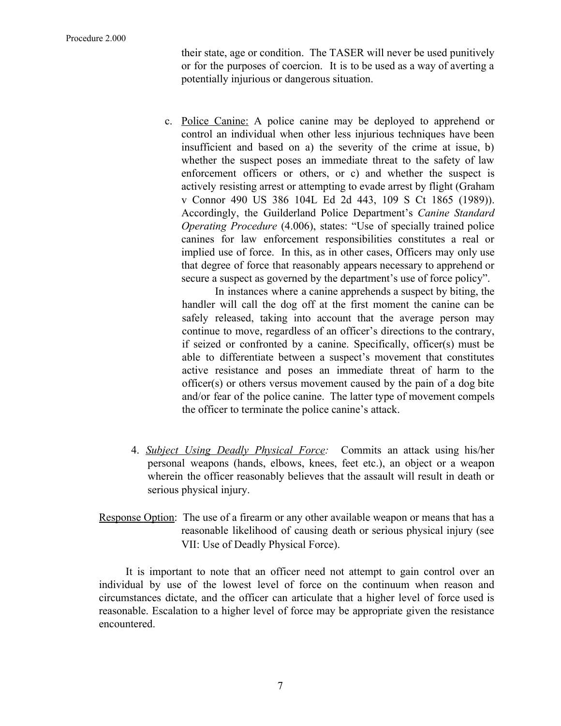their state, age or condition. The TASER will never be used punitively or for the purposes of coercion. It is to be used as a way of averting a potentially injurious or dangerous situation.

c. Police Canine: A police canine may be deployed to apprehend or control an individual when other less injurious techniques have been insufficient and based on a) the severity of the crime at issue, b) whether the suspect poses an immediate threat to the safety of law enforcement officers or others, or c) and whether the suspect is actively resisting arrest or attempting to evade arrest by flight (Graham v Connor 490 US 386 104L Ed 2d 443, 109 S Ct 1865 (1989)). Accordingly, the Guilderland Police Department's *Canine Standard Operating Procedure* (4.006), states: "Use of specially trained police canines for law enforcement responsibilities constitutes a real or implied use of force. In this, as in other cases, Officers may only use that degree of force that reasonably appears necessary to apprehend or secure a suspect as governed by the department's use of force policy".

In instances where a canine apprehends a suspect by biting, the handler will call the dog off at the first moment the canine can be safely released, taking into account that the average person may continue to move, regardless of an officer's directions to the contrary, if seized or confronted by a canine. Specifically, officer(s) must be able to differentiate between a suspect's movement that constitutes active resistance and poses an immediate threat of harm to the officer(s) or others versus movement caused by the pain of a dog bite and/or fear of the police canine. The latter type of movement compels the officer to terminate the police canine's attack.

- 4. *Subject Using Deadly Physical Force:* Commits an attack using his/her personal weapons (hands, elbows, knees, feet etc.), an object or a weapon wherein the officer reasonably believes that the assault will result in death or serious physical injury.
- Response Option: The use of a firearm or any other available weapon or means that has a reasonable likelihood of causing death or serious physical injury (see VII: Use of Deadly Physical Force).

It is important to note that an officer need not attempt to gain control over an individual by use of the lowest level of force on the continuum when reason and circumstances dictate, and the officer can articulate that a higher level of force used is reasonable. Escalation to a higher level of force may be appropriate given the resistance encountered.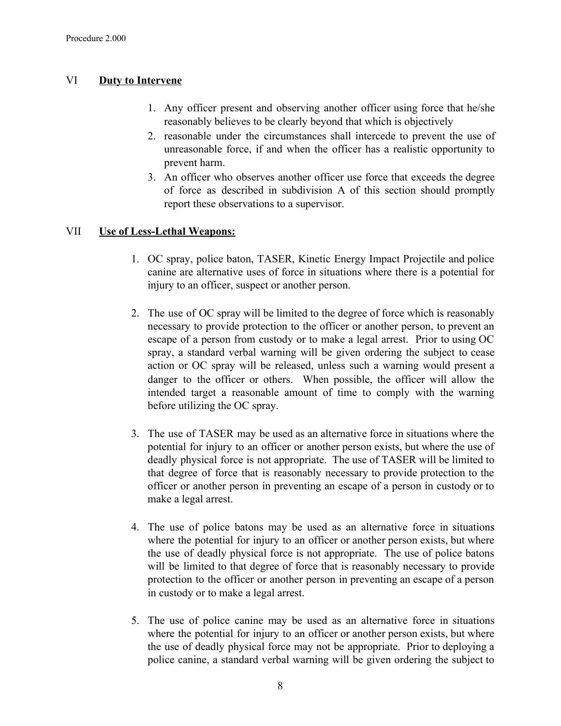# VI **Duty to Intervene**

- 1. Any officer present and observing another officer using force that he/she reasonably believes to be clearly beyond that which is objectively
- 2. reasonable under the circumstances shall intercede to prevent the use of unreasonable force, if and when the officer has a realistic opportunity to prevent harm.
- 3. An officer who observes another officer use force that exceeds the degree of force as described in subdivision A of this section should promptly report these observations to a supervisor.

# VII **Use of Less-Lethal Weapons:**

- 1. OC spray, police baton, TASER, Kinetic Energy Impact Projectile and police canine are alternative uses of force in situations where there is a potential for injury to an officer, suspect or another person.
- 2. The use of OC spray will be limited to the degree of force which is reasonably necessary to provide protection to the officer or another person, to prevent an escape of a person from custody or to make a legal arrest. Prior to using OC spray, a standard verbal warning will be given ordering the subject to cease action or OC spray will be released, unless such a warning would present a danger to the officer or others. When possible, the officer will allow the intended target a reasonable amount of time to comply with the warning before utilizing the OC spray.
- 3. The use of TASER may be used as an alternative force in situations where the potential for injury to an officer or another person exists, but where the use of deadly physical force is not appropriate. The use of TASER will be limited to that degree of force that is reasonably necessary to provide protection to the officer or another person in preventing an escape of a person in custody or to make a legal arrest.
- 4. The use of police batons may be used as an alternative force in situations where the potential for injury to an officer or another person exists, but where the use of deadly physical force is not appropriate. The use of police batons will be limited to that degree of force that is reasonably necessary to provide protection to the officer or another person in preventing an escape of a person in custody or to make a legal arrest.
- 5. The use of police canine may be used as an alternative force in situations where the potential for injury to an officer or another person exists, but where the use of deadly physical force may not be appropriate. Prior to deploying a police canine, a standard verbal warning will be given ordering the subject to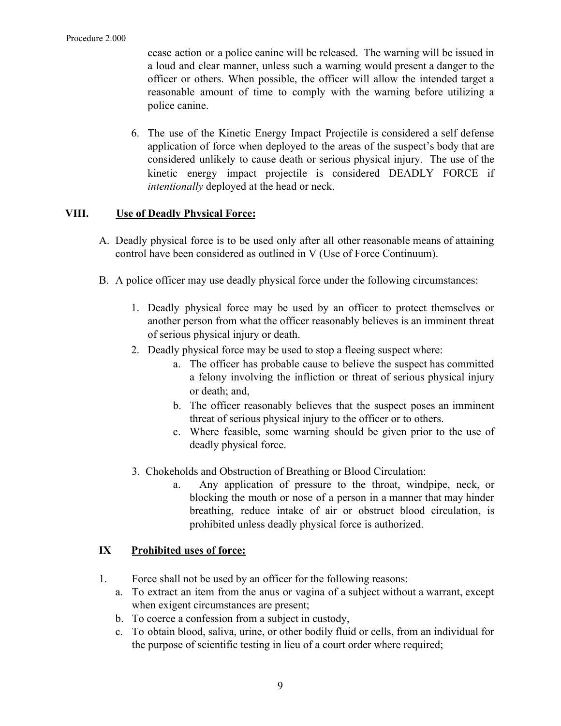cease action or a police canine will be released. The warning will be issued in a loud and clear manner, unless such a warning would present a danger to the officer or others. When possible, the officer will allow the intended target a reasonable amount of time to comply with the warning before utilizing a police canine.

6. The use of the Kinetic Energy Impact Projectile is considered a self defense application of force when deployed to the areas of the suspect's body that are considered unlikely to cause death or serious physical injury. The use of the kinetic energy impact projectile is considered DEADLY FORCE if *intentionally* deployed at the head or neck.

# **VIII. Use of Deadly Physical Force:**

- A. Deadly physical force is to be used only after all other reasonable means of attaining control have been considered as outlined in V (Use of Force Continuum).
- B. A police officer may use deadly physical force under the following circumstances:
	- 1. Deadly physical force may be used by an officer to protect themselves or another person from what the officer reasonably believes is an imminent threat of serious physical injury or death.
	- 2. Deadly physical force may be used to stop a fleeing suspect where:
		- a. The officer has probable cause to believe the suspect has committed a felony involving the infliction or threat of serious physical injury or death; and,
		- b. The officer reasonably believes that the suspect poses an imminent threat of serious physical injury to the officer or to others.
		- c. Where feasible, some warning should be given prior to the use of deadly physical force.
	- 3. Chokeholds and Obstruction of Breathing or Blood Circulation:
		- a. Any application of pressure to the throat, windpipe, neck, or blocking the mouth or nose of a person in a manner that may hinder breathing, reduce intake of air or obstruct blood circulation, is prohibited unless deadly physical force is authorized.

# **IX Prohibited uses of force:**

- 1. Force shall not be used by an officer for the following reasons:
	- a. To extract an item from the anus or vagina of a subject without a warrant, except when exigent circumstances are present;
	- b. To coerce a confession from a subject in custody,
	- c. To obtain blood, saliva, urine, or other bodily fluid or cells, from an individual for the purpose of scientific testing in lieu of a court order where required;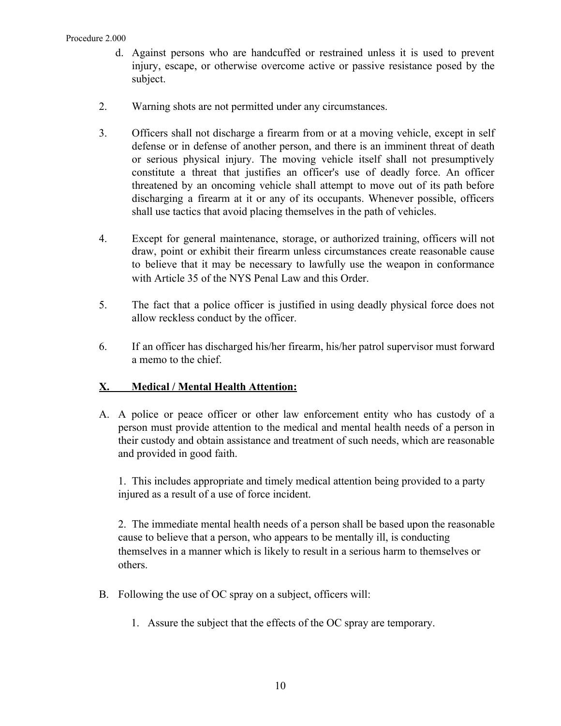- d. Against persons who are handcuffed or restrained unless it is used to prevent injury, escape, or otherwise overcome active or passive resistance posed by the subject.
- 2. Warning shots are not permitted under any circumstances.
- 3. Officers shall not discharge a firearm from or at a moving vehicle, except in self defense or in defense of another person, and there is an imminent threat of death or serious physical injury. The moving vehicle itself shall not presumptively constitute a threat that justifies an officer's use of deadly force. An officer threatened by an oncoming vehicle shall attempt to move out of its path before discharging a firearm at it or any of its occupants. Whenever possible, officers shall use tactics that avoid placing themselves in the path of vehicles.
- 4. Except for general maintenance, storage, or authorized training, officers will not draw, point or exhibit their firearm unless circumstances create reasonable cause to believe that it may be necessary to lawfully use the weapon in conformance with Article 35 of the NYS Penal Law and this Order.
- 5. The fact that a police officer is justified in using deadly physical force does not allow reckless conduct by the officer.
- 6. If an officer has discharged his/her firearm, his/her patrol supervisor must forward a memo to the chief.

# **X. Medical / Mental Health Attention:**

A. A police or peace officer or other law enforcement entity who has custody of a person must provide attention to the medical and mental health needs of a person in their custody and obtain assistance and treatment of such needs, which are reasonable and provided in good faith.

1. This includes appropriate and timely medical attention being provided to a party injured as a result of a use of force incident.

2. The immediate mental health needs of a person shall be based upon the reasonable cause to believe that a person, who appears to be mentally ill, is conducting themselves in a manner which is likely to result in a serious harm to themselves or others.

- B. Following the use of OC spray on a subject, officers will:
	- 1. Assure the subject that the effects of the OC spray are temporary.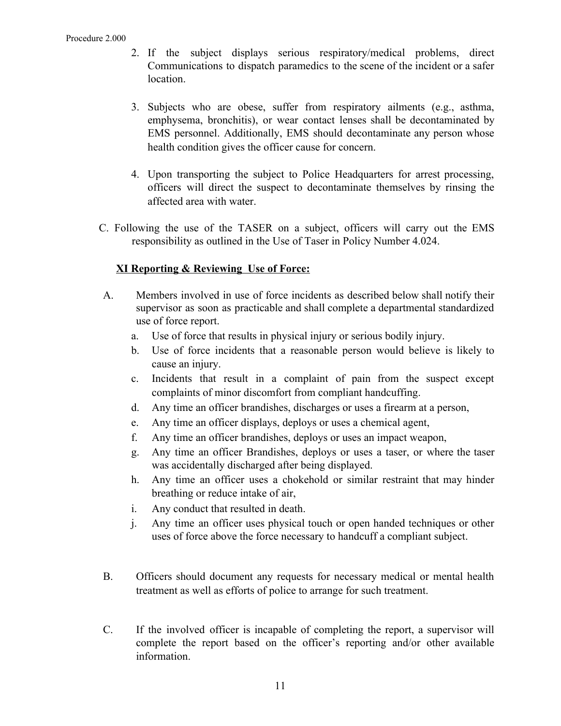- 2. If the subject displays serious respiratory/medical problems, direct Communications to dispatch paramedics to the scene of the incident or a safer location.
- 3. Subjects who are obese, suffer from respiratory ailments (e.g., asthma, emphysema, bronchitis), or wear contact lenses shall be decontaminated by EMS personnel. Additionally, EMS should decontaminate any person whose health condition gives the officer cause for concern.
- 4. Upon transporting the subject to Police Headquarters for arrest processing, officers will direct the suspect to decontaminate themselves by rinsing the affected area with water.
- C. Following the use of the TASER on a subject, officers will carry out the EMS responsibility as outlined in the Use of Taser in Policy Number 4.024.

# **XI Reporting & Reviewing Use of Force:**

- A. Members involved in use of force incidents as described below shall notify their supervisor as soon as practicable and shall complete a departmental standardized use of force report.
	- a. Use of force that results in physical injury or serious bodily injury.
	- b. Use of force incidents that a reasonable person would believe is likely to cause an injury.
	- c. Incidents that result in a complaint of pain from the suspect except complaints of minor discomfort from compliant handcuffing.
	- d. Any time an officer brandishes, discharges or uses a firearm at a person,
	- e. Any time an officer displays, deploys or uses a chemical agent,
	- f. Any time an officer brandishes, deploys or uses an impact weapon,
	- g. Any time an officer Brandishes, deploys or uses a taser, or where the taser was accidentally discharged after being displayed.
	- h. Any time an officer uses a chokehold or similar restraint that may hinder breathing or reduce intake of air,
	- i. Any conduct that resulted in death.
	- j. Any time an officer uses physical touch or open handed techniques or other uses of force above the force necessary to handcuff a compliant subject.
- B. Officers should document any requests for necessary medical or mental health treatment as well as efforts of police to arrange for such treatment.
- C. If the involved officer is incapable of completing the report, a supervisor will complete the report based on the officer's reporting and/or other available information.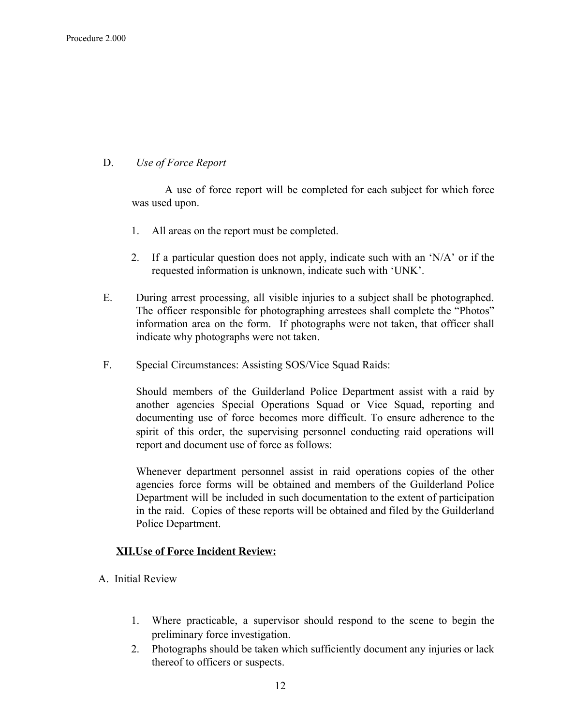## D. *Use of Force Report*

A use of force report will be completed for each subject for which force was used upon.

- 1. All areas on the report must be completed.
- 2. If a particular question does not apply, indicate such with an 'N/A' or if the requested information is unknown, indicate such with 'UNK'.
- E. During arrest processing, all visible injuries to a subject shall be photographed. The officer responsible for photographing arrestees shall complete the "Photos" information area on the form. If photographs were not taken, that officer shall indicate why photographs were not taken.
- F. Special Circumstances: Assisting SOS/Vice Squad Raids:

Should members of the Guilderland Police Department assist with a raid by another agencies Special Operations Squad or Vice Squad, reporting and documenting use of force becomes more difficult. To ensure adherence to the spirit of this order, the supervising personnel conducting raid operations will report and document use of force as follows:

Whenever department personnel assist in raid operations copies of the other agencies force forms will be obtained and members of the Guilderland Police Department will be included in such documentation to the extent of participation in the raid. Copies of these reports will be obtained and filed by the Guilderland Police Department.

# **XII.Use of Force Incident Review:**

- A. Initial Review
	- 1. Where practicable, a supervisor should respond to the scene to begin the preliminary force investigation.
	- 2. Photographs should be taken which sufficiently document any injuries or lack thereof to officers or suspects.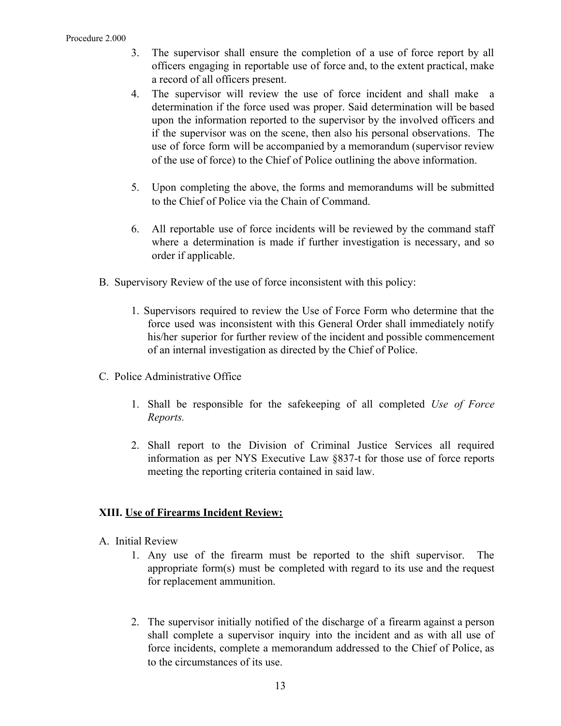### Procedure 2.000

- 3. The supervisor shall ensure the completion of a use of force report by all officers engaging in reportable use of force and, to the extent practical, make a record of all officers present.
- 4. The supervisor will review the use of force incident and shall make a determination if the force used was proper. Said determination will be based upon the information reported to the supervisor by the involved officers and if the supervisor was on the scene, then also his personal observations. The use of force form will be accompanied by a memorandum (supervisor review of the use of force) to the Chief of Police outlining the above information.
- 5. Upon completing the above, the forms and memorandums will be submitted to the Chief of Police via the Chain of Command.
- 6. All reportable use of force incidents will be reviewed by the command staff where a determination is made if further investigation is necessary, and so order if applicable.
- B. Supervisory Review of the use of force inconsistent with this policy:
	- 1. Supervisors required to review the Use of Force Form who determine that the force used was inconsistent with this General Order shall immediately notify his/her superior for further review of the incident and possible commencement of an internal investigation as directed by the Chief of Police.
- C. Police Administrative Office
	- 1. Shall be responsible for the safekeeping of all completed *Use of Force Reports.*
	- 2. Shall report to the Division of Criminal Justice Services all required information as per NYS Executive Law §837-t for those use of force reports meeting the reporting criteria contained in said law.

# **XIII. Use of Firearms Incident Review:**

- A. Initial Review
	- 1. Any use of the firearm must be reported to the shift supervisor. The appropriate form(s) must be completed with regard to its use and the request for replacement ammunition.
	- 2. The supervisor initially notified of the discharge of a firearm against a person shall complete a supervisor inquiry into the incident and as with all use of force incidents, complete a memorandum addressed to the Chief of Police, as to the circumstances of its use.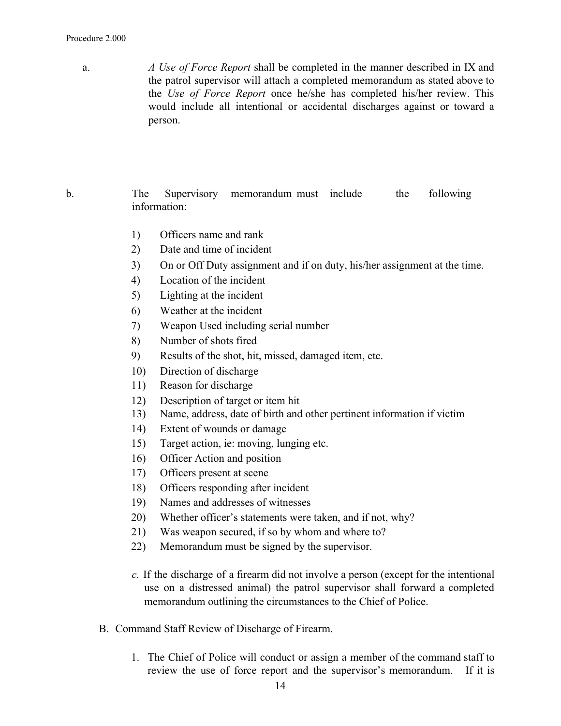### Procedure 2.000

a. *A Use of Force Report* shall be completed in the manner described in IX and the patrol supervisor will attach a completed memorandum as stated above to the *Use of Force Report* once he/she has completed his/her review. This would include all intentional or accidental discharges against or toward a person.

## b. The Supervisory memorandum must include the following information:

- 1) Officers name and rank
- 2) Date and time of incident
- 3) On or Off Duty assignment and if on duty, his/her assignment at the time.
- 4) Location of the incident
- 5) Lighting at the incident
- 6) Weather at the incident
- 7) Weapon Used including serial number
- 8) Number of shots fired
- 9) Results of the shot, hit, missed, damaged item, etc.
- 10) Direction of discharge
- 11) Reason for discharge
- 12) Description of target or item hit
- 13) Name, address, date of birth and other pertinent information if victim
- 14) Extent of wounds or damage
- 15) Target action, ie: moving, lunging etc.
- 16) Officer Action and position
- 17) Officers present at scene
- 18) Officers responding after incident
- 19) Names and addresses of witnesses
- 20) Whether officer's statements were taken, and if not, why?
- 21) Was weapon secured, if so by whom and where to?
- 22) Memorandum must be signed by the supervisor.
- *c.* If the discharge of a firearm did not involve a person (except for the intentional use on a distressed animal) the patrol supervisor shall forward a completed memorandum outlining the circumstances to the Chief of Police.
- B. Command Staff Review of Discharge of Firearm.
	- 1. The Chief of Police will conduct or assign a member of the command staff to review the use of force report and the supervisor's memorandum. If it is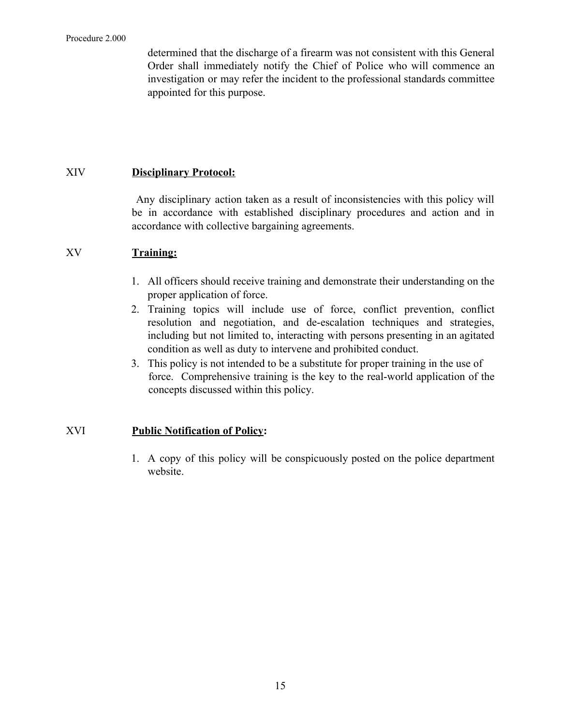determined that the discharge of a firearm was not consistent with this General Order shall immediately notify the Chief of Police who will commence an investigation or may refer the incident to the professional standards committee appointed for this purpose.

# XIV **Disciplinary Protocol:**

Any disciplinary action taken as a result of inconsistencies with this policy will be in accordance with established disciplinary procedures and action and in accordance with collective bargaining agreements.

## XV **Training:**

- 1. All officers should receive training and demonstrate their understanding on the proper application of force.
- 2. Training topics will include use of force, conflict prevention, conflict resolution and negotiation, and de-escalation techniques and strategies, including but not limited to, interacting with persons presenting in an agitated condition as well as duty to intervene and prohibited conduct.
- 3. This policy is not intended to be a substitute for proper training in the use of force. Comprehensive training is the key to the real-world application of the concepts discussed within this policy.

# XVI **Public Notification of Policy:**

1. A copy of this policy will be conspicuously posted on the police department website.